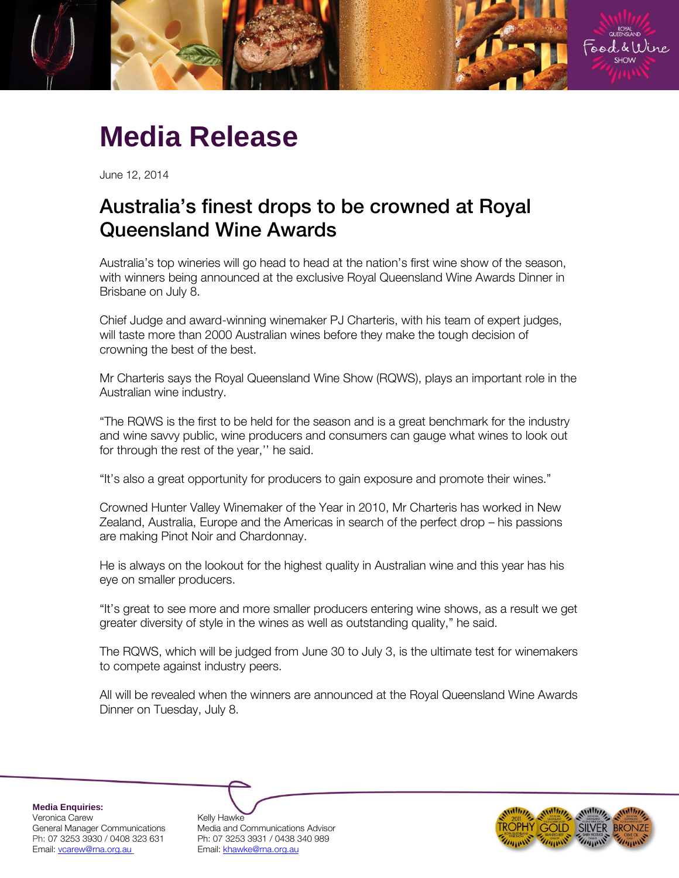

## **Media Release**

June 12, 2014

## Australia's finest drops to be crowned at Royal Queensland Wine Awards

Australia's top wineries will go head to head at the nation's first wine show of the season, with winners being announced at the exclusive Royal Queensland Wine Awards Dinner in Brisbane on July 8.

Chief Judge and award-winning winemaker PJ Charteris, with his team of expert judges, will taste more than 2000 Australian wines before they make the tough decision of crowning the best of the best.

Mr Charteris says the Royal Queensland Wine Show (RQWS), plays an important role in the Australian wine industry.

"The RQWS is the first to be held for the season and is a great benchmark for the industry and wine savvy public, wine producers and consumers can gauge what wines to look out for through the rest of the year,'' he said.

"It's also a great opportunity for producers to gain exposure and promote their wines."

Crowned Hunter Valley Winemaker of the Year in 2010, Mr Charteris has worked in New Zealand, Australia, Europe and the Americas in search of the perfect drop – his passions are making Pinot Noir and Chardonnay.

He is always on the lookout for the highest quality in Australian wine and this year has his eye on smaller producers.

"It's great to see more and more smaller producers entering wine shows, as a result we get greater diversity of style in the wines as well as outstanding quality," he said.

The RQWS, which will be judged from June 30 to July 3, is the ultimate test for winemakers to compete against industry peers.

All will be revealed when the winners are announced at the Royal Queensland Wine Awards Dinner on Tuesday, July 8.

**Media Enquiries:** Veronica Carew <br>General Manager Communications Media and C Email[: vcarew@rna.org.au](mailto:vcarew@rna.org.au) Email: [khawke@rna.org.au](mailto:khawke@rna.org.au)

Media and Communications Advisor Ph: 07 3253 3930 / 0408 323 631 Ph: 07 3253 3931 / 0438 340 989